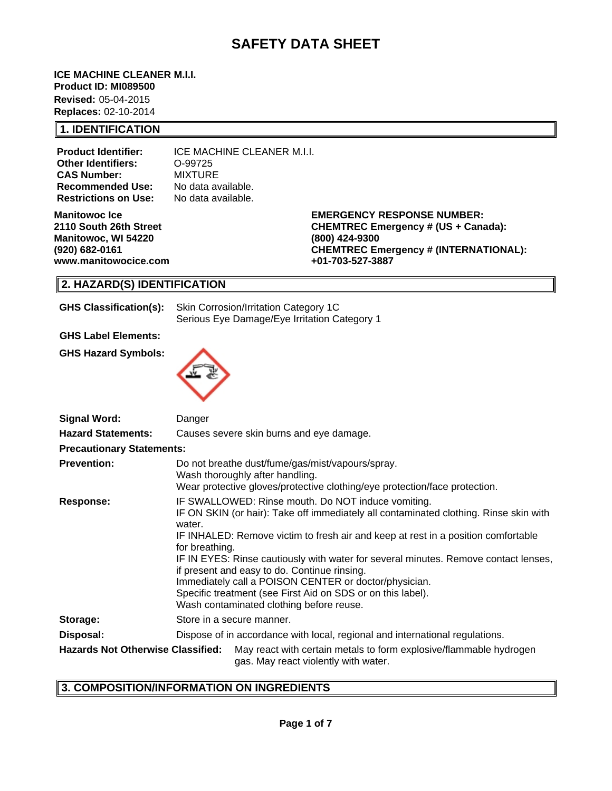# **SAFETY DATA SHEET**

**ICE MACHINE CLEANER M.I.I. Product ID: MI089500**

**Revised:** 05-04-2015 **Replaces:** 02-10-2014

### **1. IDENTIFICATION**

**Product Identifier:** ICE MACHINE CLEANER M.I.I. **Other Identifiers:** O-99725 **CAS Number:** MIXTURE<br>**Recommended Use:** No data available. **Recommended Use: Restrictions on Use:** No data available.

**Manitowoc Ice 2110 South 26th Street Manitowoc, WI 54220 (920) 682-0161 www.manitowocice.com** **EMERGENCY RESPONSE NUMBER: CHEMTREC Emergency # (US + Canada): (800) 424-9300 CHEMTREC Emergency # (INTERNATIONAL): +01-703-527-3887**

# **2. HAZARD(S) IDENTIFICATION**

| <b>GHS Classification(s):</b> | Skin Corrosion/Irritation Category 1C        |  |  |
|-------------------------------|----------------------------------------------|--|--|
|                               | Serious Eye Damage/Eye Irritation Category 1 |  |  |

 **GHS Label Elements:**

**GHS Hazard Symbols:**



| <b>Signal Word:</b>                      | Danger                                                                                                                                                                                                                                                                                                                                                                                                                                                                                                                                                                  |  |  |  |
|------------------------------------------|-------------------------------------------------------------------------------------------------------------------------------------------------------------------------------------------------------------------------------------------------------------------------------------------------------------------------------------------------------------------------------------------------------------------------------------------------------------------------------------------------------------------------------------------------------------------------|--|--|--|
| <b>Hazard Statements:</b>                | Causes severe skin burns and eye damage.                                                                                                                                                                                                                                                                                                                                                                                                                                                                                                                                |  |  |  |
| <b>Precautionary Statements:</b>         |                                                                                                                                                                                                                                                                                                                                                                                                                                                                                                                                                                         |  |  |  |
| <b>Prevention:</b>                       | Do not breathe dust/fume/gas/mist/vapours/spray.<br>Wash thoroughly after handling.<br>Wear protective gloves/protective clothing/eye protection/face protection.                                                                                                                                                                                                                                                                                                                                                                                                       |  |  |  |
| <b>Response:</b>                         | IF SWALLOWED: Rinse mouth. Do NOT induce vomiting.<br>IF ON SKIN (or hair): Take off immediately all contaminated clothing. Rinse skin with<br>water.<br>IF INHALED: Remove victim to fresh air and keep at rest in a position comfortable<br>for breathing.<br>IF IN EYES: Rinse cautiously with water for several minutes. Remove contact lenses,<br>if present and easy to do. Continue rinsing.<br>Immediately call a POISON CENTER or doctor/physician.<br>Specific treatment (see First Aid on SDS or on this label).<br>Wash contaminated clothing before reuse. |  |  |  |
| Storage:                                 | Store in a secure manner.                                                                                                                                                                                                                                                                                                                                                                                                                                                                                                                                               |  |  |  |
| Disposal:                                | Dispose of in accordance with local, regional and international regulations.                                                                                                                                                                                                                                                                                                                                                                                                                                                                                            |  |  |  |
| <b>Hazards Not Otherwise Classified:</b> | May react with certain metals to form explosive/flammable hydrogen<br>gas. May react violently with water.                                                                                                                                                                                                                                                                                                                                                                                                                                                              |  |  |  |

# **3. COMPOSITION/INFORMATION ON INGREDIENTS**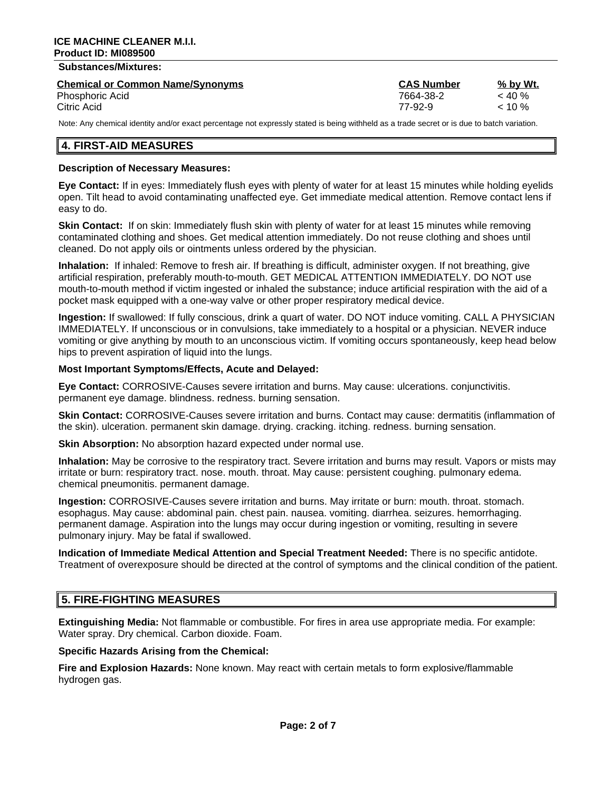### **Substances/Mixtures:**

| <b>Chemical or Common Name/Synonyms</b> | <b>CAS Number</b> | % by Wt.  |
|-----------------------------------------|-------------------|-----------|
| Phosphoric Acid                         | 7664-38-2         | $<$ 40 %  |
| Citric Acid                             | 77-92-9           | $< 10 \%$ |

Note: Any chemical identity and/or exact percentage not expressly stated is being withheld as a trade secret or is due to batch variation.

### **4. FIRST-AID MEASURES**

#### **Description of Necessary Measures:**

**Eye Contact:** If in eyes: Immediately flush eyes with plenty of water for at least 15 minutes while holding eyelids open. Tilt head to avoid contaminating unaffected eye. Get immediate medical attention. Remove contact lens if easy to do.

**Skin Contact:** If on skin: Immediately flush skin with plenty of water for at least 15 minutes while removing contaminated clothing and shoes. Get medical attention immediately. Do not reuse clothing and shoes until cleaned. Do not apply oils or ointments unless ordered by the physician.

**Inhalation:** If inhaled: Remove to fresh air. If breathing is difficult, administer oxygen. If not breathing, give artificial respiration, preferably mouth-to-mouth. GET MEDICAL ATTENTION IMMEDIATELY. DO NOT use mouth-to-mouth method if victim ingested or inhaled the substance; induce artificial respiration with the aid of a pocket mask equipped with a one-way valve or other proper respiratory medical device.

**Ingestion:** If swallowed: If fully conscious, drink a quart of water. DO NOT induce vomiting. CALL A PHYSICIAN IMMEDIATELY. If unconscious or in convulsions, take immediately to a hospital or a physician. NEVER induce vomiting or give anything by mouth to an unconscious victim. If vomiting occurs spontaneously, keep head below hips to prevent aspiration of liquid into the lungs.

#### **Most Important Symptoms/Effects, Acute and Delayed:**

**Eye Contact:** CORROSIVE-Causes severe irritation and burns. May cause: ulcerations. conjunctivitis. permanent eye damage. blindness. redness. burning sensation.

**Skin Contact:** CORROSIVE-Causes severe irritation and burns. Contact may cause: dermatitis (inflammation of the skin). ulceration. permanent skin damage. drying. cracking. itching. redness. burning sensation.

**Skin Absorption:** No absorption hazard expected under normal use.

**Inhalation:** May be corrosive to the respiratory tract. Severe irritation and burns may result. Vapors or mists may irritate or burn: respiratory tract. nose. mouth. throat. May cause: persistent coughing. pulmonary edema. chemical pneumonitis. permanent damage.

**Ingestion:** CORROSIVE-Causes severe irritation and burns. May irritate or burn: mouth. throat. stomach. esophagus. May cause: abdominal pain. chest pain. nausea. vomiting. diarrhea. seizures. hemorrhaging. permanent damage. Aspiration into the lungs may occur during ingestion or vomiting, resulting in severe pulmonary injury. May be fatal if swallowed.

**Indication of Immediate Medical Attention and Special Treatment Needed:** There is no specific antidote. Treatment of overexposure should be directed at the control of symptoms and the clinical condition of the patient.

### **5. FIRE-FIGHTING MEASURES**

**Extinguishing Media:** Not flammable or combustible. For fires in area use appropriate media. For example: Water spray. Dry chemical. Carbon dioxide. Foam.

**Specific Hazards Arising from the Chemical:**

**Fire and Explosion Hazards:** None known. May react with certain metals to form explosive/flammable hydrogen gas.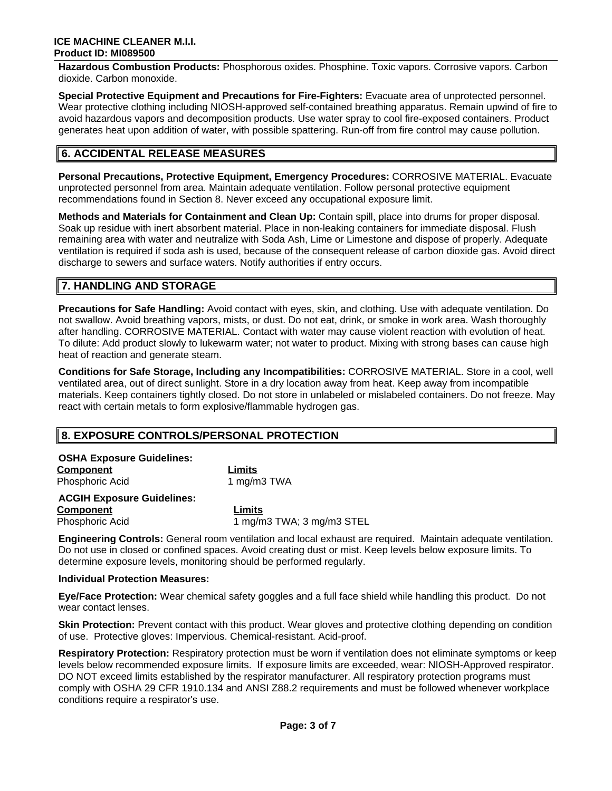**Hazardous Combustion Products:** Phosphorous oxides. Phosphine. Toxic vapors. Corrosive vapors. Carbon dioxide. Carbon monoxide.

**Special Protective Equipment and Precautions for Fire-Fighters:** Evacuate area of unprotected personnel. Wear protective clothing including NIOSH-approved self-contained breathing apparatus. Remain upwind of fire to avoid hazardous vapors and decomposition products. Use water spray to cool fire-exposed containers. Product generates heat upon addition of water, with possible spattering. Run-off from fire control may cause pollution.

# **6. ACCIDENTAL RELEASE MEASURES**

**Personal Precautions, Protective Equipment, Emergency Procedures:** CORROSIVE MATERIAL. Evacuate unprotected personnel from area. Maintain adequate ventilation. Follow personal protective equipment recommendations found in Section 8. Never exceed any occupational exposure limit.

**Methods and Materials for Containment and Clean Up:** Contain spill, place into drums for proper disposal. Soak up residue with inert absorbent material. Place in non-leaking containers for immediate disposal. Flush remaining area with water and neutralize with Soda Ash, Lime or Limestone and dispose of properly. Adequate ventilation is required if soda ash is used, because of the consequent release of carbon dioxide gas. Avoid direct discharge to sewers and surface waters. Notify authorities if entry occurs.

# **7. HANDLING AND STORAGE**

**Precautions for Safe Handling:** Avoid contact with eyes, skin, and clothing. Use with adequate ventilation. Do not swallow. Avoid breathing vapors, mists, or dust. Do not eat, drink, or smoke in work area. Wash thoroughly after handling. CORROSIVE MATERIAL. Contact with water may cause violent reaction with evolution of heat. To dilute: Add product slowly to lukewarm water; not water to product. Mixing with strong bases can cause high heat of reaction and generate steam.

**Conditions for Safe Storage, Including any Incompatibilities:** CORROSIVE MATERIAL. Store in a cool, well ventilated area, out of direct sunlight. Store in a dry location away from heat. Keep away from incompatible materials. Keep containers tightly closed. Do not store in unlabeled or mislabeled containers. Do not freeze. May react with certain metals to form explosive/flammable hydrogen gas.

# **8. EXPOSURE CONTROLS/PERSONAL PROTECTION**

| Limits                    |
|---------------------------|
| 1 mg/m3 TWA               |
|                           |
| Limits                    |
| 1 mg/m3 TWA; 3 mg/m3 STEL |
|                           |

**Engineering Controls:** General room ventilation and local exhaust are required. Maintain adequate ventilation. Do not use in closed or confined spaces. Avoid creating dust or mist. Keep levels below exposure limits. To determine exposure levels, monitoring should be performed regularly.

#### **Individual Protection Measures:**

**Eye/Face Protection:** Wear chemical safety goggles and a full face shield while handling this product. Do not wear contact lenses.

**Skin Protection:** Prevent contact with this product. Wear gloves and protective clothing depending on condition of use. Protective gloves: Impervious. Chemical-resistant. Acid-proof.

**Respiratory Protection:** Respiratory protection must be worn if ventilation does not eliminate symptoms or keep levels below recommended exposure limits. If exposure limits are exceeded, wear: NIOSH-Approved respirator. DO NOT exceed limits established by the respirator manufacturer. All respiratory protection programs must comply with OSHA 29 CFR 1910.134 and ANSI Z88.2 requirements and must be followed whenever workplace conditions require a respirator's use.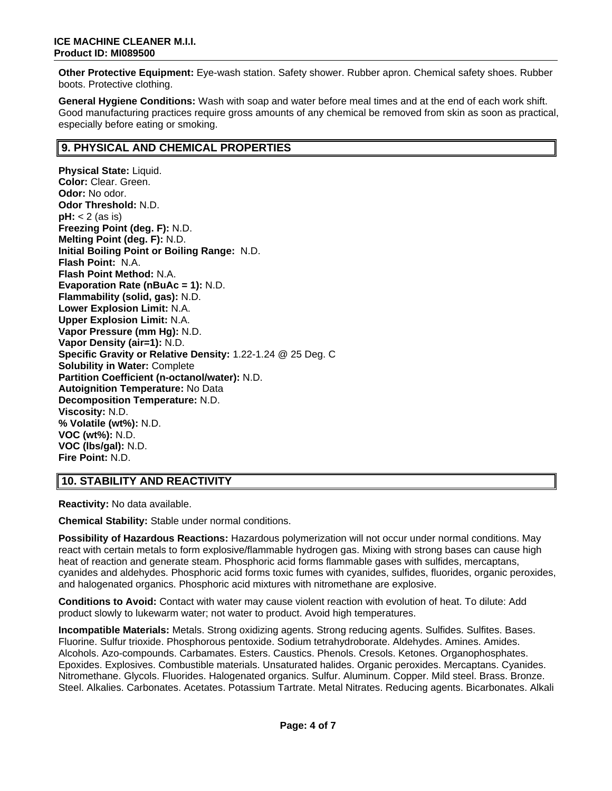**Other Protective Equipment:** Eye-wash station. Safety shower. Rubber apron. Chemical safety shoes. Rubber boots. Protective clothing.

**General Hygiene Conditions:** Wash with soap and water before meal times and at the end of each work shift. Good manufacturing practices require gross amounts of any chemical be removed from skin as soon as practical, especially before eating or smoking.

### **9. PHYSICAL AND CHEMICAL PROPERTIES**

**Physical State:** Liquid. **Color:** Clear. Green. **Odor:** No odor. **Odor Threshold:** N.D. **pH:** < 2 (as is) **Freezing Point (deg. F):** N.D. **Melting Point (deg. F):** N.D. **Initial Boiling Point or Boiling Range:** N.D. **Flash Point:** N.A. **Flash Point Method:** N.A. **Evaporation Rate (nBuAc = 1):** N.D. **Flammability (solid, gas):** N.D. **Lower Explosion Limit:** N.A. **Upper Explosion Limit:** N.A. **Vapor Pressure (mm Hg):** N.D. **Vapor Density (air=1):** N.D. **Specific Gravity or Relative Density:** 1.22-1.24 @ 25 Deg. C **Solubility in Water:** Complete **Partition Coefficient (n-octanol/water):** N.D. **Autoignition Temperature:** No Data **Decomposition Temperature:** N.D. **Viscosity:** N.D. **% Volatile (wt%):** N.D. **VOC (wt%):** N.D. **VOC (lbs/gal):** N.D. **Fire Point:** N.D.

# **10. STABILITY AND REACTIVITY**

**Reactivity:** No data available.

**Chemical Stability:** Stable under normal conditions.

**Possibility of Hazardous Reactions:** Hazardous polymerization will not occur under normal conditions. May react with certain metals to form explosive/flammable hydrogen gas. Mixing with strong bases can cause high heat of reaction and generate steam. Phosphoric acid forms flammable gases with sulfides, mercaptans, cyanides and aldehydes. Phosphoric acid forms toxic fumes with cyanides, sulfides, fluorides, organic peroxides, and halogenated organics. Phosphoric acid mixtures with nitromethane are explosive.

**Conditions to Avoid:** Contact with water may cause violent reaction with evolution of heat. To dilute: Add product slowly to lukewarm water; not water to product. Avoid high temperatures.

**Incompatible Materials:** Metals. Strong oxidizing agents. Strong reducing agents. Sulfides. Sulfites. Bases. Fluorine. Sulfur trioxide. Phosphorous pentoxide. Sodium tetrahydroborate. Aldehydes. Amines. Amides. Alcohols. Azo-compounds. Carbamates. Esters. Caustics. Phenols. Cresols. Ketones. Organophosphates. Epoxides. Explosives. Combustible materials. Unsaturated halides. Organic peroxides. Mercaptans. Cyanides. Nitromethane. Glycols. Fluorides. Halogenated organics. Sulfur. Aluminum. Copper. Mild steel. Brass. Bronze. Steel. Alkalies. Carbonates. Acetates. Potassium Tartrate. Metal Nitrates. Reducing agents. Bicarbonates. Alkali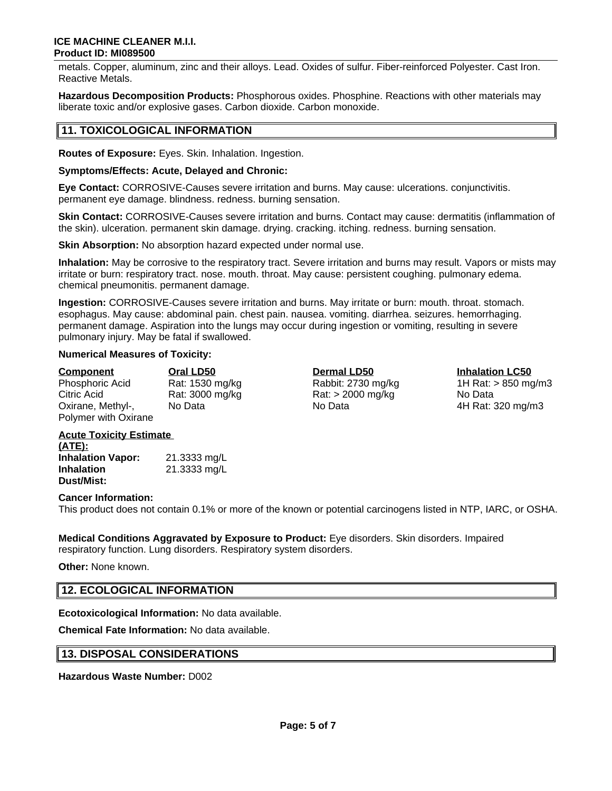#### **ICE MACHINE CLEANER M.I.I. Product ID: MI089500**

metals. Copper, aluminum, zinc and their alloys. Lead. Oxides of sulfur. Fiber-reinforced Polyester. Cast Iron. Reactive Metals.

**Hazardous Decomposition Products:** Phosphorous oxides. Phosphine. Reactions with other materials may liberate toxic and/or explosive gases. Carbon dioxide. Carbon monoxide.

### **11. TOXICOLOGICAL INFORMATION**

**Routes of Exposure:** Eyes. Skin. Inhalation. Ingestion.

#### **Symptoms/Effects: Acute, Delayed and Chronic:**

**Eye Contact:** CORROSIVE-Causes severe irritation and burns. May cause: ulcerations. conjunctivitis. permanent eye damage. blindness. redness. burning sensation.

**Skin Contact:** CORROSIVE-Causes severe irritation and burns. Contact may cause: dermatitis (inflammation of the skin). ulceration. permanent skin damage. drying. cracking. itching. redness. burning sensation.

**Skin Absorption:** No absorption hazard expected under normal use.

**Inhalation:** May be corrosive to the respiratory tract. Severe irritation and burns may result. Vapors or mists may irritate or burn: respiratory tract. nose. mouth. throat. May cause: persistent coughing. pulmonary edema. chemical pneumonitis. permanent damage.

**Ingestion:** CORROSIVE-Causes severe irritation and burns. May irritate or burn: mouth. throat. stomach. esophagus. May cause: abdominal pain. chest pain. nausea. vomiting. diarrhea. seizures. hemorrhaging. permanent damage. Aspiration into the lungs may occur during ingestion or vomiting, resulting in severe pulmonary injury. May be fatal if swallowed.

#### **Numerical Measures of Toxicity:**

| <b>Component</b>     | Oral LD50       | <b>Dermal LD50</b>  | <b>Inhalation LC50</b> |
|----------------------|-----------------|---------------------|------------------------|
| Phosphoric Acid      | Rat: 1530 mg/kg | Rabbit: 2730 mg/kg  | 1H Rat: $> 850$ mg/m3  |
| Citric Acid          | Rat: 3000 mg/kg | $Rat:$ > 2000 mg/kg | No Data                |
| Oxirane, Methyl-,    | No Data         | No Data             | 4H Rat: 320 mg/m3      |
| Polymer with Oxirane |                 |                     |                        |

#### **Acute Toxicity Estimate (ATE):**

**Inhalation Vapor:** 21.3333 mg/L **Inhalation Dust/Mist:** 21.3333 mg/L

#### **Cancer Information:**

This product does not contain 0.1% or more of the known or potential carcinogens listed in NTP, IARC, or OSHA.

**Medical Conditions Aggravated by Exposure to Product:** Eye disorders. Skin disorders. Impaired respiratory function. Lung disorders. Respiratory system disorders.

**Other:** None known.

### **12. ECOLOGICAL INFORMATION**

**Ecotoxicological Information:** No data available.

**Chemical Fate Information:** No data available.

#### **13. DISPOSAL CONSIDERATIONS**

**Hazardous Waste Number:** D002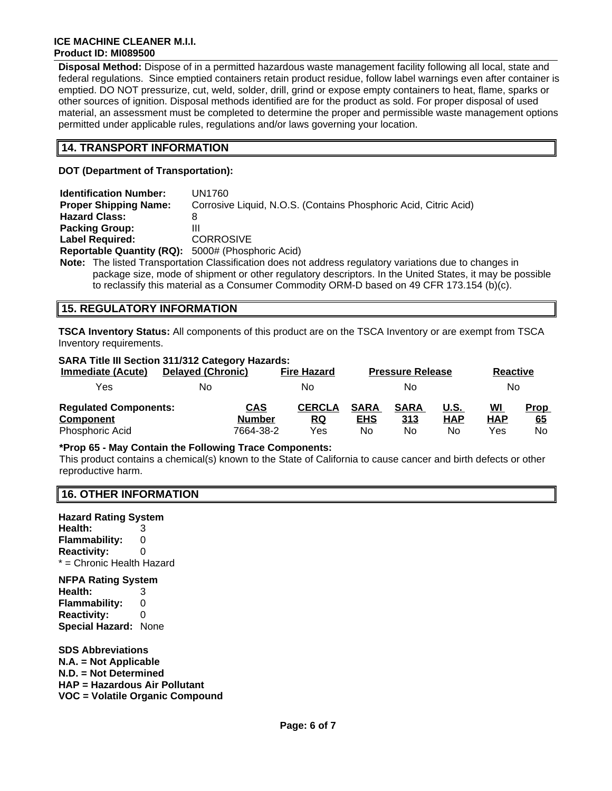#### **ICE MACHINE CLEANER M.I.I. Product ID: MI089500**

**Disposal Method:** Dispose of in a permitted hazardous waste management facility following all local, state and federal regulations. Since emptied containers retain product residue, follow label warnings even after container is emptied. DO NOT pressurize, cut, weld, solder, drill, grind or expose empty containers to heat, flame, sparks or other sources of ignition. Disposal methods identified are for the product as sold. For proper disposal of used material, an assessment must be completed to determine the proper and permissible waste management options permitted under applicable rules, regulations and/or laws governing your location.

### **14. TRANSPORT INFORMATION**

**DOT (Department of Transportation):**

| <b>Identification Number:</b>                            | UN1760                                                                                                   |
|----------------------------------------------------------|----------------------------------------------------------------------------------------------------------|
| <b>Proper Shipping Name:</b>                             | Corrosive Liquid, N.O.S. (Contains Phosphoric Acid, Citric Acid)                                         |
| <b>Hazard Class:</b>                                     |                                                                                                          |
| <b>Packing Group:</b>                                    | Ш                                                                                                        |
| <b>Label Required:</b>                                   | <b>CORROSIVE</b>                                                                                         |
| <b>Reportable Quantity (RQ):</b> 5000# (Phosphoric Acid) |                                                                                                          |
|                                                          | <b>Note:</b> The listed Transportation Classification does not address requisitory variations due to cha |

**Note:** The listed Transportation Classification does not address regulatory variations due to changes in package size, mode of shipment or other regulatory descriptors. In the United States, it may be possible to reclassify this material as a Consumer Commodity ORM-D based on 49 CFR 173.154 (b)(c).

# **15. REGULATORY INFORMATION**

**TSCA Inventory Status:** All components of this product are on the TSCA Inventory or are exempt from TSCA Inventory requirements.

# **SARA Title III Section 311/312 Category Hazards:**

| <b>Immediate (Acute)</b>                                            | <b>Delayed (Chronic)</b>                 | <b>Fire Hazard</b>         |                                 | <b>Pressure Release</b>  |                          | <b>Reactive</b>                |                          |
|---------------------------------------------------------------------|------------------------------------------|----------------------------|---------------------------------|--------------------------|--------------------------|--------------------------------|--------------------------|
| Yes                                                                 | No                                       | No                         |                                 | Nο                       |                          | No.                            |                          |
| <b>Regulated Components:</b><br><b>Component</b><br>Phosphoric Acid | <b>CAS</b><br><b>Number</b><br>7664-38-2 | <b>CERCLA</b><br>RQ<br>Yes | <b>SARA</b><br><b>EHS</b><br>No | <b>SARA</b><br>313<br>No | U.S.<br><b>HAP</b><br>No | <u>WI</u><br><b>HAP</b><br>Yes | <b>Prop</b><br>65<br>No. |

#### **\*Prop 65 - May Contain the Following Trace Components:**

This product contains a chemical(s) known to the State of California to cause cancer and birth defects or other reproductive harm.

#### **16. OTHER INFORMATION**

**Hazard Rating System Health:** 3 **Flammability:** 0 **Reactivity:** 0 \* = Chronic Health Hazard

#### **NFPA Rating System**

**Health:** 3 **Flammability:** 0 **Reactivity:** 0 **Special Hazard:** None

**SDS Abbreviations N.A. = Not Applicable N.D. = Not Determined HAP = Hazardous Air Pollutant VOC = Volatile Organic Compound**